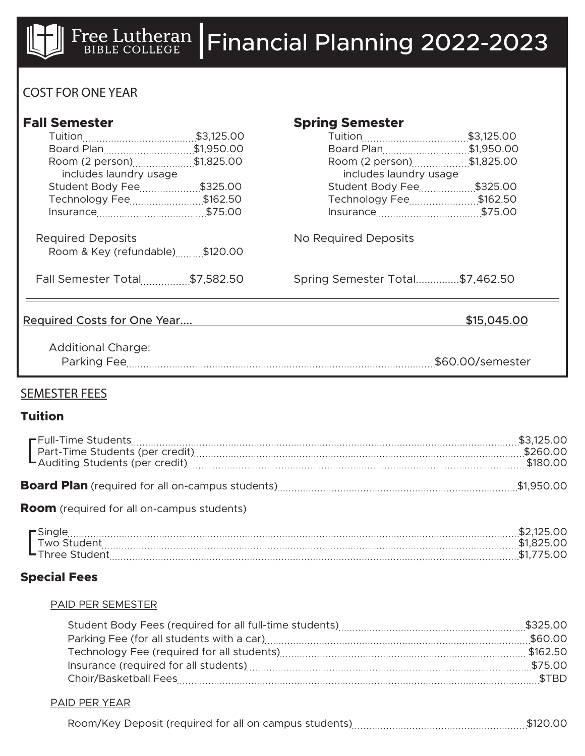

# COST FOR ONE YEAR

| <b>Fall Semester</b>                 |  | <b>Spring Semester</b>          |                  |
|--------------------------------------|--|---------------------------------|------------------|
|                                      |  |                                 |                  |
| Board Plan\$1,950.00                 |  | Board Plan\$1,950.00            |                  |
| Room (2 person) \$1,825.00           |  | Room (2 person) \$1,825.00      |                  |
| includes laundry usage               |  | includes laundry usage          |                  |
| Student Body Fee\$325.00             |  | Student Body Fee\$325.00        |                  |
| Technology Fee\$162.50               |  | Technology Fee\$162.50          |                  |
|                                      |  |                                 |                  |
| <b>Required Deposits</b>             |  | No Required Deposits            |                  |
| Room & Key (refundable) \$120.00     |  |                                 |                  |
| <b>Fall Semester Total\$7,582.50</b> |  | Spring Semester Total\$7,462.50 |                  |
| Required Costs for One Year          |  |                                 | \$15,045.00      |
| <b>Additional Charge:</b>            |  |                                 | \$60.00/semester |
|                                      |  |                                 |                  |

## SEMESTER FEES

### **Tuition**

**Room** (required for all on-campus students)

| $\blacksquare$ Sing |       |
|---------------------|-------|
| M <sub>O</sub><br>. |       |
| ' nree              | /,ا ⊄ |

## **Special Fees**

#### PAID PER SEMESTER

#### PAID PER YEAR

| Room/Key Deposit (required for all on campus students). |  | $\uparrow$ $\uparrow$ $\uparrow$ $\uparrow$ $\uparrow$ $\uparrow$ $\uparrow$ $\uparrow$ $\uparrow$ $\uparrow$ $\uparrow$ $\uparrow$ $\uparrow$ $\uparrow$ $\uparrow$ $\uparrow$ $\uparrow$ $\uparrow$ $\uparrow$ $\uparrow$ $\uparrow$ $\uparrow$ $\uparrow$ $\uparrow$ $\uparrow$ $\uparrow$ $\uparrow$ $\uparrow$ $\uparrow$ $\uparrow$ $\uparrow$ $\uparrow$ $\uparrow$ $\uparrow$ $\uparrow$ $\uparrow$ $\uparrow$ |
|---------------------------------------------------------|--|------------------------------------------------------------------------------------------------------------------------------------------------------------------------------------------------------------------------------------------------------------------------------------------------------------------------------------------------------------------------------------------------------------------------|
|---------------------------------------------------------|--|------------------------------------------------------------------------------------------------------------------------------------------------------------------------------------------------------------------------------------------------------------------------------------------------------------------------------------------------------------------------------------------------------------------------|